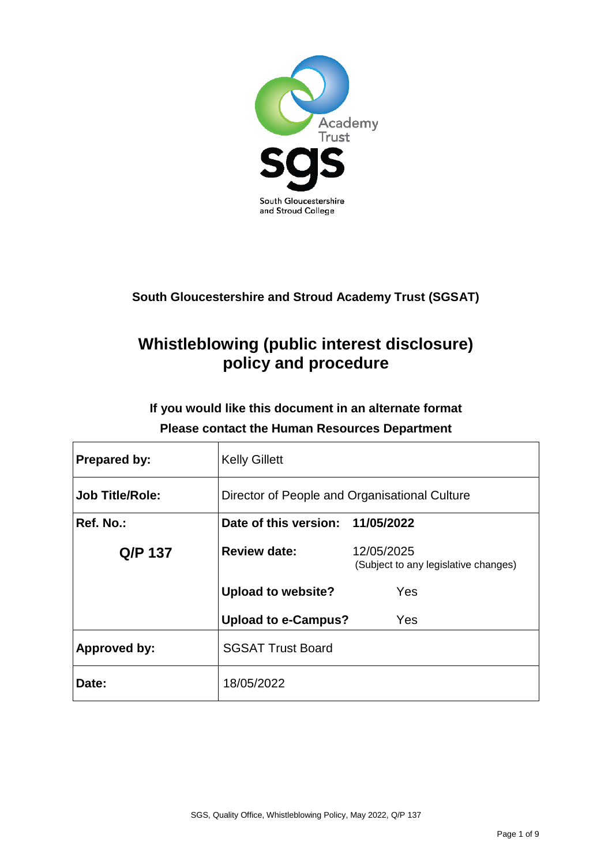

## **South Gloucestershire and Stroud Academy Trust (SGSAT)**

# **Whistleblowing (public interest disclosure) policy and procedure**

## **If you would like this document in an alternate format Please contact the Human Resources Department**

| Prepared by:           | <b>Kelly Gillett</b>                          |                                                    |  |
|------------------------|-----------------------------------------------|----------------------------------------------------|--|
| <b>Job Title/Role:</b> | Director of People and Organisational Culture |                                                    |  |
| Ref. No.:              | Date of this version: 11/05/2022              |                                                    |  |
| Q/P 137                | <b>Review date:</b>                           | 12/05/2025<br>(Subject to any legislative changes) |  |
|                        | <b>Upload to website?</b>                     | Yes                                                |  |
|                        | <b>Upload to e-Campus?</b>                    | Yes                                                |  |
| <b>Approved by:</b>    | <b>SGSAT Trust Board</b>                      |                                                    |  |
| Date:                  | 18/05/2022                                    |                                                    |  |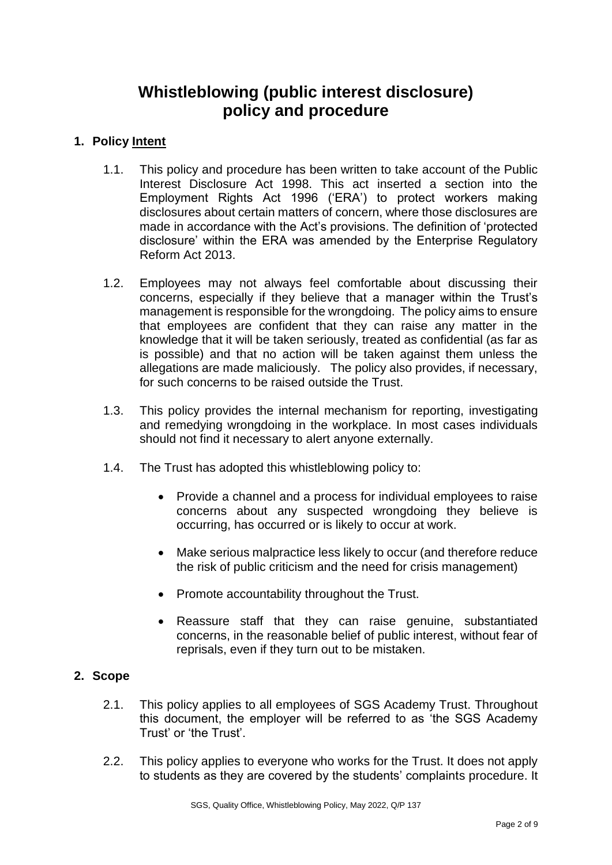## **Whistleblowing (public interest disclosure) policy and procedure**

## **1. Policy Intent**

- 1.1. This policy and procedure has been written to take account of the Public Interest Disclosure Act 1998. This act inserted a section into the Employment Rights Act 1996 ('ERA') to protect workers making disclosures about certain matters of concern, where those disclosures are made in accordance with the Act's provisions. The definition of 'protected disclosure' within the ERA was amended by the Enterprise Regulatory Reform Act 2013.
- 1.2. Employees may not always feel comfortable about discussing their concerns, especially if they believe that a manager within the Trust's management is responsible for the wrongdoing. The policy aims to ensure that employees are confident that they can raise any matter in the knowledge that it will be taken seriously, treated as confidential (as far as is possible) and that no action will be taken against them unless the allegations are made maliciously. The policy also provides, if necessary, for such concerns to be raised outside the Trust.
- 1.3. This policy provides the internal mechanism for reporting, investigating and remedying wrongdoing in the workplace. In most cases individuals should not find it necessary to alert anyone externally.
- 1.4. The Trust has adopted this whistleblowing policy to:
	- Provide a channel and a process for individual employees to raise concerns about any suspected wrongdoing they believe is occurring, has occurred or is likely to occur at work.
	- Make serious malpractice less likely to occur (and therefore reduce the risk of public criticism and the need for crisis management)
	- Promote accountability throughout the Trust.
	- Reassure staff that they can raise genuine, substantiated concerns, in the reasonable belief of public interest, without fear of reprisals, even if they turn out to be mistaken.

## **2. Scope**

- 2.1. This policy applies to all employees of SGS Academy Trust. Throughout this document, the employer will be referred to as 'the SGS Academy Trust' or 'the Trust'.
- 2.2. This policy applies to everyone who works for the Trust. It does not apply to students as they are covered by the students' complaints procedure. It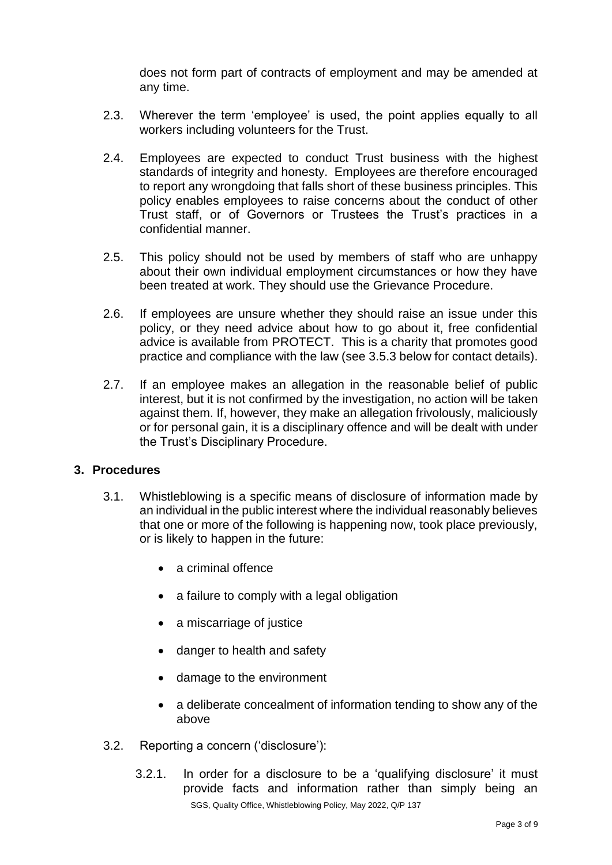does not form part of contracts of employment and may be amended at any time.

- 2.3. Wherever the term 'employee' is used, the point applies equally to all workers including volunteers for the Trust.
- 2.4. Employees are expected to conduct Trust business with the highest standards of integrity and honesty. Employees are therefore encouraged to report any wrongdoing that falls short of these business principles. This policy enables employees to raise concerns about the conduct of other Trust staff, or of Governors or Trustees the Trust's practices in a confidential manner.
- 2.5. This policy should not be used by members of staff who are unhappy about their own individual employment circumstances or how they have been treated at work. They should use the Grievance Procedure.
- 2.6. If employees are unsure whether they should raise an issue under this policy, or they need advice about how to go about it, free confidential advice is available from PROTECT. This is a charity that promotes good practice and compliance with the law (see 3.5.3 below for contact details).
- 2.7. If an employee makes an allegation in the reasonable belief of public interest, but it is not confirmed by the investigation, no action will be taken against them. If, however, they make an allegation frivolously, maliciously or for personal gain, it is a disciplinary offence and will be dealt with under the Trust's Disciplinary Procedure.

## **3. Procedures**

- 3.1. Whistleblowing is a specific means of disclosure of information made by an individual in the public interest where the individual reasonably believes that one or more of the following is happening now, took place previously, or is likely to happen in the future:
	- a criminal offence
	- a failure to comply with a legal obligation
	- a miscarriage of justice
	- danger to health and safety
	- damage to the environment
	- a deliberate concealment of information tending to show any of the above
- 3.2. Reporting a concern ('disclosure'):
	- SGS, Quality Office, Whistleblowing Policy, May 2022, Q/P 137 3.2.1. In order for a disclosure to be a 'qualifying disclosure' it must provide facts and information rather than simply being an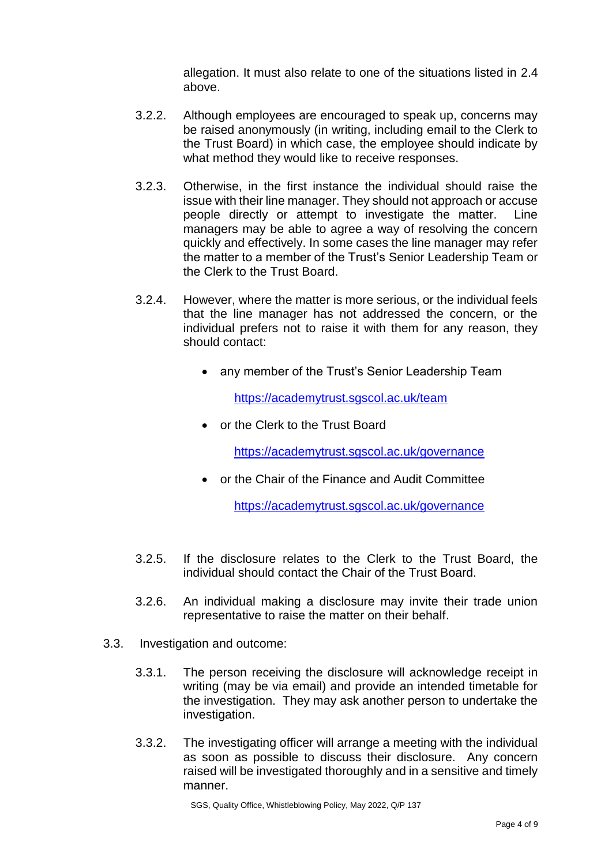allegation. It must also relate to one of the situations listed in 2.4 above.

- 3.2.2. Although employees are encouraged to speak up, concerns may be raised anonymously (in writing, including email to the Clerk to the Trust Board) in which case, the employee should indicate by what method they would like to receive responses.
- 3.2.3. Otherwise, in the first instance the individual should raise the issue with their line manager. They should not approach or accuse people directly or attempt to investigate the matter. Line managers may be able to agree a way of resolving the concern quickly and effectively. In some cases the line manager may refer the matter to a member of the Trust's Senior Leadership Team or the Clerk to the Trust Board.
- 3.2.4. However, where the matter is more serious, or the individual feels that the line manager has not addressed the concern, or the individual prefers not to raise it with them for any reason, they should contact:
	- any member of the Trust's Senior Leadership Team

<https://academytrust.sgscol.ac.uk/team>

• or the Clerk to the Trust Board

<https://academytrust.sgscol.ac.uk/governance>

• or the Chair of the Finance and Audit Committee

<https://academytrust.sgscol.ac.uk/governance>

- 3.2.5. If the disclosure relates to the Clerk to the Trust Board, the individual should contact the Chair of the Trust Board.
- 3.2.6. An individual making a disclosure may invite their trade union representative to raise the matter on their behalf.
- 3.3. Investigation and outcome:
	- 3.3.1. The person receiving the disclosure will acknowledge receipt in writing (may be via email) and provide an intended timetable for the investigation. They may ask another person to undertake the investigation.
	- 3.3.2. The investigating officer will arrange a meeting with the individual as soon as possible to discuss their disclosure. Any concern raised will be investigated thoroughly and in a sensitive and timely manner.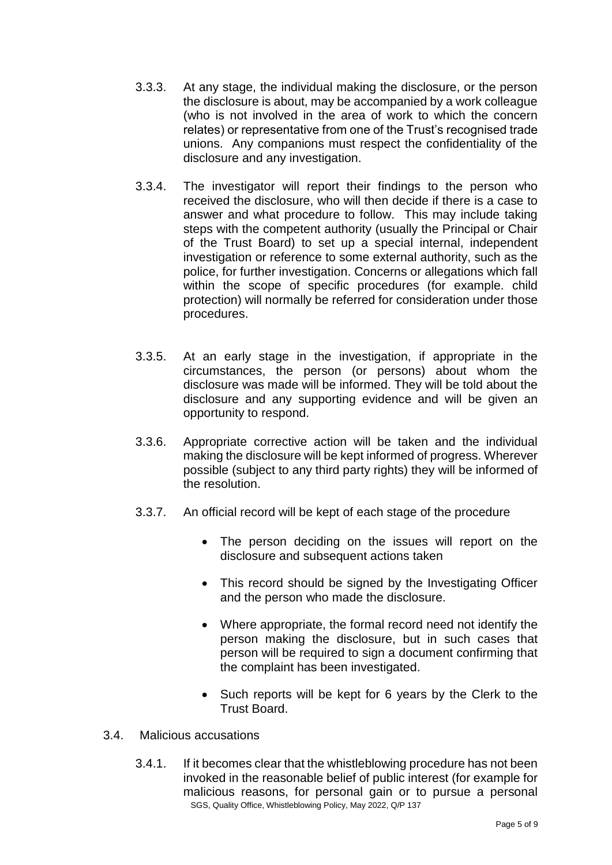- 3.3.3. At any stage, the individual making the disclosure, or the person the disclosure is about, may be accompanied by a work colleague (who is not involved in the area of work to which the concern relates) or representative from one of the Trust's recognised trade unions. Any companions must respect the confidentiality of the disclosure and any investigation.
- 3.3.4. The investigator will report their findings to the person who received the disclosure, who will then decide if there is a case to answer and what procedure to follow. This may include taking steps with the competent authority (usually the Principal or Chair of the Trust Board) to set up a special internal, independent investigation or reference to some external authority, such as the police, for further investigation. Concerns or allegations which fall within the scope of specific procedures (for example. child protection) will normally be referred for consideration under those procedures.
- 3.3.5. At an early stage in the investigation, if appropriate in the circumstances, the person (or persons) about whom the disclosure was made will be informed. They will be told about the disclosure and any supporting evidence and will be given an opportunity to respond.
- 3.3.6. Appropriate corrective action will be taken and the individual making the disclosure will be kept informed of progress. Wherever possible (subject to any third party rights) they will be informed of the resolution.
- 3.3.7. An official record will be kept of each stage of the procedure
	- The person deciding on the issues will report on the disclosure and subsequent actions taken
	- This record should be signed by the Investigating Officer and the person who made the disclosure.
	- Where appropriate, the formal record need not identify the person making the disclosure, but in such cases that person will be required to sign a document confirming that the complaint has been investigated.
	- Such reports will be kept for 6 years by the Clerk to the Trust Board.
- 3.4. Malicious accusations
	- SGS, Quality Office, Whistleblowing Policy, May 2022, Q/P 137 3.4.1. If it becomes clear that the whistleblowing procedure has not been invoked in the reasonable belief of public interest (for example for malicious reasons, for personal gain or to pursue a personal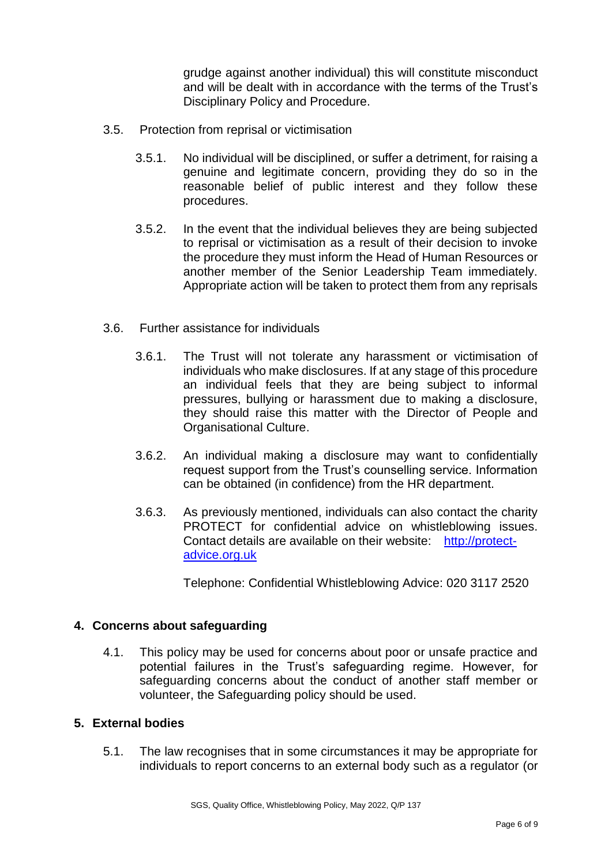grudge against another individual) this will constitute misconduct and will be dealt with in accordance with the terms of the Trust's Disciplinary Policy and Procedure.

- 3.5. Protection from reprisal or victimisation
	- 3.5.1. No individual will be disciplined, or suffer a detriment, for raising a genuine and legitimate concern, providing they do so in the reasonable belief of public interest and they follow these procedures.
	- 3.5.2. In the event that the individual believes they are being subjected to reprisal or victimisation as a result of their decision to invoke the procedure they must inform the Head of Human Resources or another member of the Senior Leadership Team immediately. Appropriate action will be taken to protect them from any reprisals
- 3.6. Further assistance for individuals
	- 3.6.1. The Trust will not tolerate any harassment or victimisation of individuals who make disclosures. If at any stage of this procedure an individual feels that they are being subject to informal pressures, bullying or harassment due to making a disclosure, they should raise this matter with the Director of People and Organisational Culture.
	- 3.6.2. An individual making a disclosure may want to confidentially request support from the Trust's counselling service. Information can be obtained (in confidence) from the HR department.
	- 3.6.3. As previously mentioned, individuals can also contact the charity PROTECT for confidential advice on whistleblowing issues. Contact details are available on their website: [http://protect](http://protect-advice.org.uk/)[advice.org.uk](http://protect-advice.org.uk/)

Telephone: Confidential Whistleblowing Advice: 020 3117 2520

## **4. Concerns about safeguarding**

4.1. This policy may be used for concerns about poor or unsafe practice and potential failures in the Trust's safeguarding regime. However, for safeguarding concerns about the conduct of another staff member or volunteer, the Safeguarding policy should be used.

#### **5. External bodies**

5.1. The law recognises that in some circumstances it may be appropriate for individuals to report concerns to an external body such as a regulator (or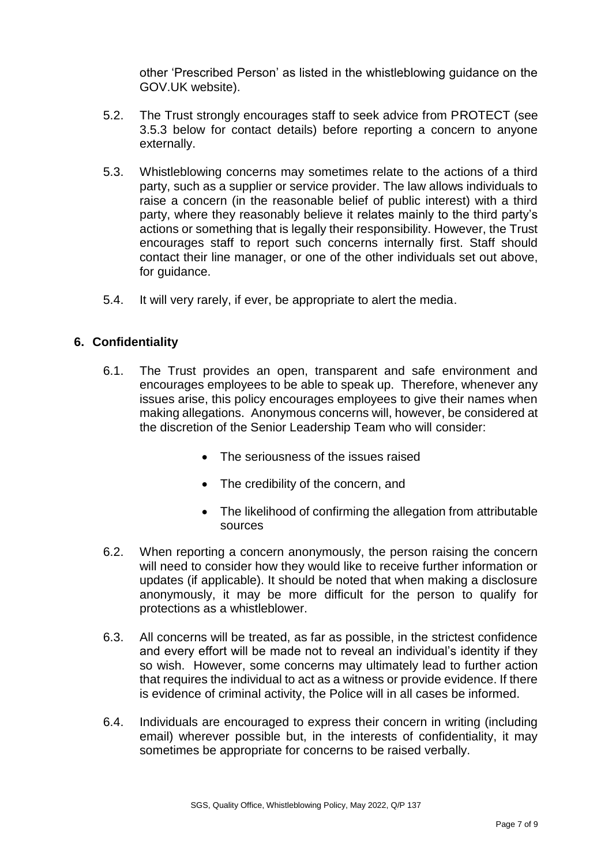other 'Prescribed Person' as listed in the whistleblowing guidance on the GOV.UK website).

- 5.2. The Trust strongly encourages staff to seek advice from PROTECT (see 3.5.3 below for contact details) before reporting a concern to anyone externally.
- 5.3. Whistleblowing concerns may sometimes relate to the actions of a third party, such as a supplier or service provider. The law allows individuals to raise a concern (in the reasonable belief of public interest) with a third party, where they reasonably believe it relates mainly to the third party's actions or something that is legally their responsibility. However, the Trust encourages staff to report such concerns internally first. Staff should contact their line manager, or one of the other individuals set out above, for guidance.
- 5.4. It will very rarely, if ever, be appropriate to alert the media.

## **6. Confidentiality**

- 6.1. The Trust provides an open, transparent and safe environment and encourages employees to be able to speak up. Therefore, whenever any issues arise, this policy encourages employees to give their names when making allegations. Anonymous concerns will, however, be considered at the discretion of the Senior Leadership Team who will consider:
	- The seriousness of the issues raised
	- The credibility of the concern, and
	- The likelihood of confirming the allegation from attributable sources
- 6.2. When reporting a concern anonymously, the person raising the concern will need to consider how they would like to receive further information or updates (if applicable). It should be noted that when making a disclosure anonymously, it may be more difficult for the person to qualify for protections as a whistleblower.
- 6.3. All concerns will be treated, as far as possible, in the strictest confidence and every effort will be made not to reveal an individual's identity if they so wish. However, some concerns may ultimately lead to further action that requires the individual to act as a witness or provide evidence. If there is evidence of criminal activity, the Police will in all cases be informed.
- 6.4. Individuals are encouraged to express their concern in writing (including email) wherever possible but, in the interests of confidentiality, it may sometimes be appropriate for concerns to be raised verbally.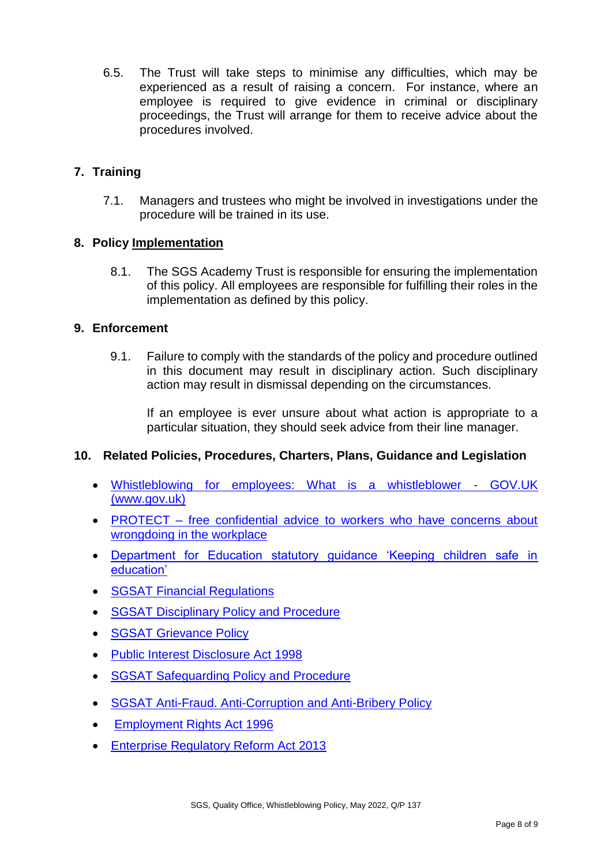6.5. The Trust will take steps to minimise any difficulties, which may be experienced as a result of raising a concern. For instance, where an employee is required to give evidence in criminal or disciplinary proceedings, the Trust will arrange for them to receive advice about the procedures involved.

## **7. Training**

7.1. Managers and trustees who might be involved in investigations under the procedure will be trained in its use.

## **8. Policy Implementation**

8.1. The SGS Academy Trust is responsible for ensuring the implementation of this policy. All employees are responsible for fulfilling their roles in the implementation as defined by this policy.

## **9. Enforcement**

9.1. Failure to comply with the standards of the policy and procedure outlined in this document may result in disciplinary action. Such disciplinary action may result in dismissal depending on the circumstances.

If an employee is ever unsure about what action is appropriate to a particular situation, they should seek advice from their line manager.

## **10. Related Policies, Procedures, Charters, Plans, Guidance and Legislation**

- [Whistleblowing for employees: What is a whistleblower -](https://www.gov.uk/whistleblowing) GOV.UK [\(www.gov.uk\)](https://www.gov.uk/whistleblowing)
- PROTECT [free confidential advice to workers who have concerns about](https://protect-advice.org.uk/)  [wrongdoing in the workplace](https://protect-advice.org.uk/)
- [Department for Education statutory guidance 'Keeping children safe in](https://assets.publishing.service.gov.uk/government/uploads/system/uploads/attachment_data/file/1021914/KCSIE_2021_September_guidance.pdf)  [education'](https://assets.publishing.service.gov.uk/government/uploads/system/uploads/attachment_data/file/1021914/KCSIE_2021_September_guidance.pdf)
- [SGSAT Financial Regulations](https://sgscol.sharepoint.com/:w:/r/sites/academyTrust/mat/_layouts/15/Doc.aspx?sourcedoc=%7BE776A505-8B5C-4E17-98E5-584D7600DEF9%7D&file=Financial%20Regulations%20SGSAT.docx&action=default&mobileredirect=true)
- [SGSAT Disciplinary Policy and Procedure](https://sgscol.sharepoint.com/:w:/r/sites/academyTrust/mat/_layouts/15/Doc.aspx?sourcedoc=%7BDA151E55-FD57-4951-B33C-B25B615DD9F8%7D&file=Disciplinary%20Policy%20(Staff)%20SGSAT.docx&action=default&mobileredirect=true)
- **[SGSAT Grievance Policy](https://sgscol.sharepoint.com/:w:/r/sites/academyTrust/mat/_layouts/15/Doc.aspx?sourcedoc=%7BC545342E-22A5-4D44-8ECA-09CFE8927548%7D&file=Grievance%20Policy%20and%20Procedure%20SGSAT.docx&action=default&mobileredirect=true)**
- [Public Interest Disclosure Act 1998](https://www.gov.uk/government/publications/guidance-for-auditors-and-independent-examiners-of-charities/the-public-interest-disclosure-act--2)
- [SGSAT Safeguarding Policy and Procedure](https://sgscol.sharepoint.com/:w:/r/sites/academyTrust/mat/_layouts/15/Doc.aspx?sourcedoc=%7BEF3ABB68-0314-4F30-B7C7-6844CA9377BE%7D&file=Safeguarding%20Students%20and%20Child%20Protection%20Policy%20SGSAT.docx&action=default&mobileredirect=true)
- [SGSAT Anti-Fraud. Anti-Corruption and Anti-Bribery Policy](https://sgscol.sharepoint.com/:w:/r/sites/academyTrust/mat/_layouts/15/Doc.aspx?sourcedoc=%7B99B301AB-FD40-4F77-B71B-E2188E82F459%7D&file=Anti%20Bribery%2C%20Anti%20Corruption%20and%20Anti%20Fraud%20Policy%20SGSAT.docx&action=default&mobileredirect=true)
- [Employment Rights Act 1996](https://www.legislation.gov.uk/ukpga/1996/18/contents)
- [Enterprise Regulatory Reform Act 2013](https://www.gov.uk/government/collections/enterprise-regulatory-reform)